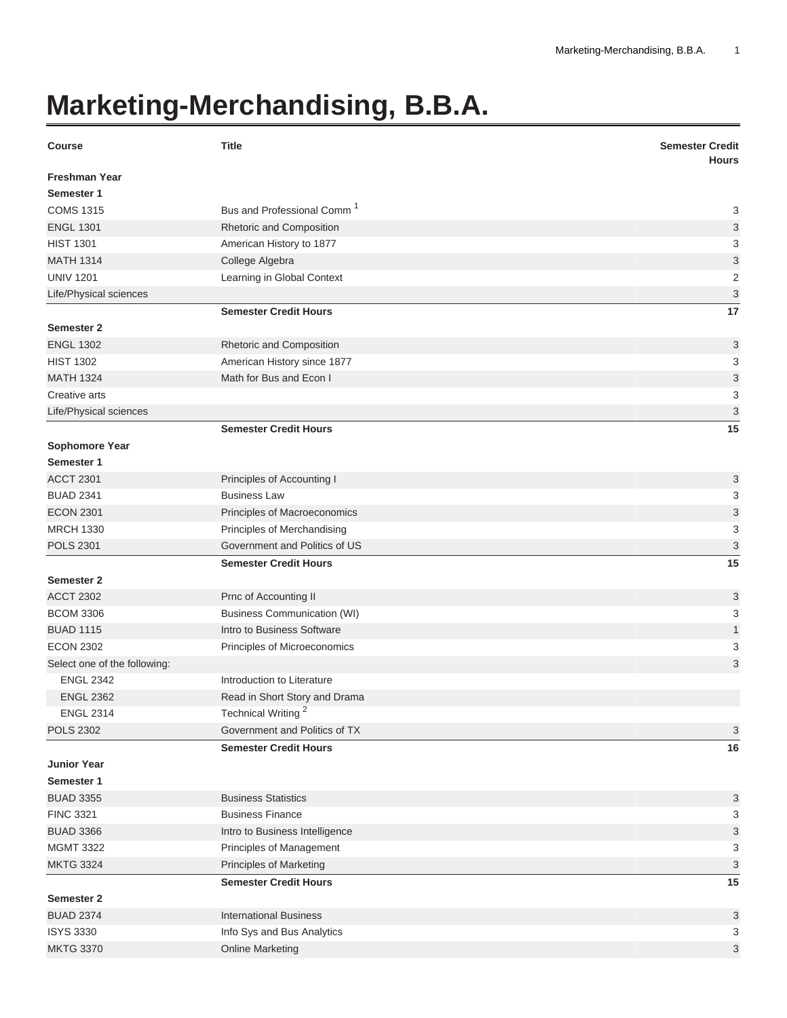## **Marketing-Merchandising, B.B.A.**

| <b>Course</b>                | <b>Title</b>                           | <b>Semester Credit</b><br><b>Hours</b> |
|------------------------------|----------------------------------------|----------------------------------------|
| <b>Freshman Year</b>         |                                        |                                        |
| Semester 1                   |                                        |                                        |
| <b>COMS 1315</b>             | Bus and Professional Comm <sup>1</sup> | 3                                      |
| <b>ENGL 1301</b>             | Rhetoric and Composition               | 3                                      |
| <b>HIST 1301</b>             | American History to 1877               | 3                                      |
| <b>MATH 1314</b>             | College Algebra                        | 3                                      |
| <b>UNIV 1201</b>             | Learning in Global Context             | $\overline{\mathbf{c}}$                |
| Life/Physical sciences       |                                        | 3                                      |
|                              | <b>Semester Credit Hours</b>           | 17                                     |
| <b>Semester 2</b>            |                                        |                                        |
| <b>ENGL 1302</b>             | Rhetoric and Composition               | 3                                      |
| <b>HIST 1302</b>             | American History since 1877            | 3                                      |
| <b>MATH 1324</b>             | Math for Bus and Econ I                | 3                                      |
| Creative arts                |                                        | 3                                      |
| Life/Physical sciences       |                                        | 3                                      |
|                              | <b>Semester Credit Hours</b>           | 15                                     |
| <b>Sophomore Year</b>        |                                        |                                        |
| Semester 1                   |                                        |                                        |
| <b>ACCT 2301</b>             | Principles of Accounting I             | 3                                      |
| <b>BUAD 2341</b>             | <b>Business Law</b>                    | 3                                      |
| <b>ECON 2301</b>             | Principles of Macroeconomics           | 3                                      |
| <b>MRCH 1330</b>             | Principles of Merchandising            | 3                                      |
| <b>POLS 2301</b>             | Government and Politics of US          | 3                                      |
|                              | <b>Semester Credit Hours</b>           | 15                                     |
| <b>Semester 2</b>            |                                        |                                        |
| <b>ACCT 2302</b>             | Prnc of Accounting II                  | 3                                      |
| <b>BCOM 3306</b>             | <b>Business Communication (WI)</b>     | 3                                      |
| <b>BUAD 1115</b>             | Intro to Business Software             | $\mathbf{1}$                           |
| <b>ECON 2302</b>             | Principles of Microeconomics           | 3                                      |
| Select one of the following: |                                        | 3                                      |
| <b>ENGL 2342</b>             | Introduction to Literature             |                                        |
| <b>ENGL 2362</b>             | Read in Short Story and Drama          |                                        |
| <b>ENGL 2314</b>             | Technical Writing <sup>2</sup>         |                                        |
| <b>POLS 2302</b>             | Government and Politics of TX          | 3                                      |
|                              | <b>Semester Credit Hours</b>           | 16                                     |
| <b>Junior Year</b>           |                                        |                                        |
| Semester 1                   |                                        |                                        |
| <b>BUAD 3355</b>             | <b>Business Statistics</b>             | 3                                      |
| <b>FINC 3321</b>             | <b>Business Finance</b>                | 3                                      |
| <b>BUAD 3366</b>             | Intro to Business Intelligence         | 3                                      |
| <b>MGMT 3322</b>             | Principles of Management               | 3                                      |
| <b>MKTG 3324</b>             | Principles of Marketing                | 3                                      |
|                              | <b>Semester Credit Hours</b>           | 15                                     |
| <b>Semester 2</b>            |                                        |                                        |
| <b>BUAD 2374</b>             | <b>International Business</b>          | 3                                      |
| <b>ISYS 3330</b>             | Info Sys and Bus Analytics             | 3                                      |
| <b>MKTG 3370</b>             | <b>Online Marketing</b>                | 3                                      |